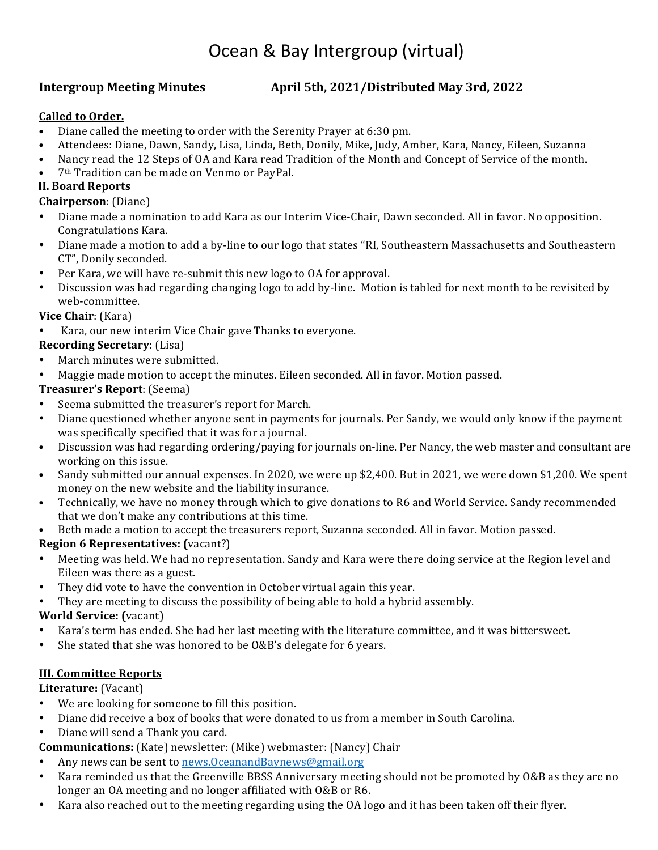# Ocean & Bay Intergroup (virtual)

# **Intergroup Meeting Minutes 4.4 April 5th, 2021/Distributed May 3rd, 2022**

#### **Called to Order.**

- Diane called the meeting to order with the Serenity Prayer at 6:30 pm.
- Attendees: Diane, Dawn, Sandy, Lisa, Linda, Beth, Donily, Mike, Judy, Amber, Kara, Nancy, Eileen, Suzanna
- Nancy read the 12 Steps of OA and Kara read Tradition of the Month and Concept of Service of the month.
- 7<sup>th</sup> Tradition can be made on Venmo or PayPal.

# **II. Board Reports**

#### **Chairperson**: (Diane)

- Diane made a nomination to add Kara as our Interim Vice-Chair, Dawn seconded. All in favor. No opposition. Congratulations Kara.
- Diane made a motion to add a by-line to our logo that states "RI, Southeastern Massachusetts and Southeastern CT", Donily seconded.
- Per Kara, we will have re-submit this new logo to OA for approval.
- Discussion was had regarding changing logo to add by-line. Motion is tabled for next month to be revisited by web-committee.

# **Vice Chair**: (Kara)

Kara, our new interim Vice Chair gave Thanks to everyone.

# **Recording Secretary**: (Lisa)

- March minutes were submitted.
- Maggie made motion to accept the minutes. Eileen seconded. All in favor. Motion passed.

#### **Treasurer's Report**: (Seema)

- Seema submitted the treasurer's report for March.
- Diane questioned whether anyone sent in payments for journals. Per Sandy, we would only know if the payment was specifically specified that it was for a journal.
- Discussion was had regarding ordering/paying for journals on-line. Per Nancy, the web master and consultant are working on this issue.
- Sandy submitted our annual expenses. In 2020, we were up \$2,400. But in 2021, we were down \$1,200. We spent money on the new website and the liability insurance.
- Technically, we have no money through which to give donations to R6 and World Service. Sandy recommended that we don't make any contributions at this time.
- Beth made a motion to accept the treasurers report, Suzanna seconded. All in favor. Motion passed.

# **Region 6 Representatives:** (vacant?)

- Meeting was held. We had no representation. Sandy and Kara were there doing service at the Region level and Eileen was there as a guest.
- They did vote to have the convention in October virtual again this year.
- They are meeting to discuss the possibility of being able to hold a hybrid assembly.

# **World Service:** (vacant)

- Kara's term has ended. She had her last meeting with the literature committee, and it was bittersweet.
- She stated that she was honored to be  $0&B$ 's delegate for 6 years.

# **III. Committee Reports**

# **Literature:** (Vacant)

- We are looking for someone to fill this position.
- Diane did receive a box of books that were donated to us from a member in South Carolina.
- Diane will send a Thank you card.

# **Communications:** (Kate) newsletter: (Mike) webmaster: (Nancy) Chair

- Any news can be sent to news. Oceanand Baynews@gmail.org
- Kara reminded us that the Greenville BBSS Anniversary meeting should not be promoted by O&B as they are no longer an OA meeting and no longer affiliated with O&B or R6.
- Kara also reached out to the meeting regarding using the OA logo and it has been taken off their flyer.